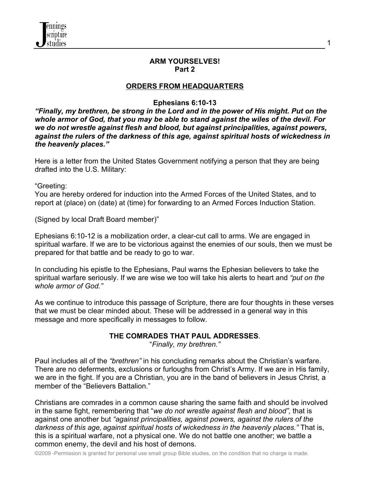#### **ARM YOURSELVES! Part 2**

1

## **ORDERS FROM HEADQUARTERS**

## **Ephesians 6:10-13**

*"Finally, my brethren, be strong in the Lord and in the power of His might. Put on the whole armor of God, that you may be able to stand against the wiles of the devil. For we do not wrestle against flesh and blood, but against principalities, against powers, against the rulers of the darkness of this age, against spiritual hosts of wickedness in the heavenly places."*

Here is a letter from the United States Government notifying a person that they are being drafted into the U.S. Military:

"Greeting:

You are hereby ordered for induction into the Armed Forces of the United States, and to report at (place) on (date) at (time) for forwarding to an Armed Forces Induction Station.

(Signed by local Draft Board member)"

Ephesians 6:10-12 is a mobilization order, a clear-cut call to arms. We are engaged in spiritual warfare. If we are to be victorious against the enemies of our souls, then we must be prepared for that battle and be ready to go to war.

In concluding his epistle to the Ephesians, Paul warns the Ephesian believers to take the spiritual warfare seriously. If we are wise we too will take his alerts to heart and *"put on the whole armor of God."*

As we continue to introduce this passage of Scripture, there are four thoughts in these verses that we must be clear minded about. These will be addressed in a general way in this message and more specifically in messages to follow.

## **THE COMRADES THAT PAUL ADDRESSES**.

"*Finally, my brethren."*

Paul includes all of the *"brethren"* in his concluding remarks about the Christian's warfare. There are no deferments, exclusions or furloughs from Christ's Army. If we are in His family, we are in the fight. If you are a Christian, you are in the band of believers in Jesus Christ, a member of the "Believers Battalion."

Christians are comrades in a common cause sharing the same faith and should be involved in the same fight, remembering that "*we do not wrestle against flesh and blood",* that is against one another but *"against principalities, against powers, against the rulers of the darkness of this age, against spiritual hosts of wickedness in the heavenly places."* That is, this is a spiritual warfare, not a physical one. We do not battle one another; we battle a common enemy, the devil and his host of demons.

©2009 -Permission is granted for personal use small group Bible studies, on the condition that no charge is made.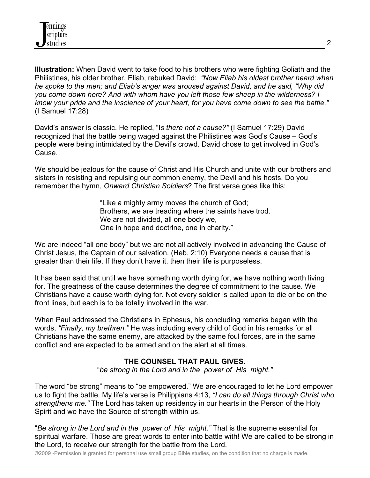

**Illustration:** When David went to take food to his brothers who were fighting Goliath and the Philistines, his older brother, Eliab, rebuked David: *"Now Eliab his oldest brother heard when he spoke to the men; and Eliab's anger was aroused against David, and he said, "Why did you come down here? And with whom have you left those few sheep in the wilderness? I know your pride and the insolence of your heart, for you have come down to see the battle."*  (I Samuel 17:28)

David's answer is classic. He replied, "I*s there not a cause?"* (I Samuel 17:29) David recognized that the battle being waged against the Philistines was God's Cause – God's people were being intimidated by the Devil's crowd. David chose to get involved in God's Cause.

We should be jealous for the cause of Christ and His Church and unite with our brothers and sisters in resisting and repulsing our common enemy, the Devil and his hosts. Do you remember the hymn, *Onward Christian Soldiers*? The first verse goes like this:

> "Like a mighty army moves the church of God; Brothers, we are treading where the saints have trod. We are not divided, all one body we, One in hope and doctrine, one in charity."

We are indeed "all one body" but we are not all actively involved in advancing the Cause of Christ Jesus, the Captain of our salvation. (Heb. 2:10) Everyone needs a cause that is greater than their life. If they don't have it, then their life is purposeless.

It has been said that until we have something worth dying for, we have nothing worth living for. The greatness of the cause determines the degree of commitment to the cause. We Christians have a cause worth dying for. Not every soldier is called upon to die or be on the front lines, but each is to be totally involved in the war.

When Paul addressed the Christians in Ephesus, his concluding remarks began with the words, *"Finally, my brethren."* He was including every child of God in his remarks for all Christians have the same enemy, are attacked by the same foul forces, are in the same conflict and are expected to be armed and on the alert at all times.

## **THE COUNSEL THAT PAUL GIVES.**

"*be strong in the Lord and in the power of His might."*

The word "be strong" means to "be empowered." We are encouraged to let he Lord empower us to fight the battle. My life's verse is Philippians 4:13, *"I can do all things through Christ who strengthens me."* The Lord has taken up residency in our hearts in the Person of the Holy Spirit and we have the Source of strength within us.

"*Be strong in the Lord and in the power of His might."* That is the supreme essential for spiritual warfare. Those are great words to enter into battle with! We are called to be strong in the Lord, to receive our strength for the battle from the Lord.

©2009 -Permission is granted for personal use small group Bible studies, on the condition that no charge is made.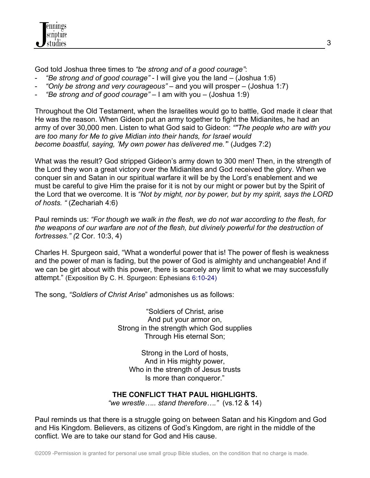

God told Joshua three times to *"be strong and of a good courage"*:

- *"Be strong and of good courage"* I will give you the land (Joshua 1:6)
- *"Only be strong and very courageous"* and you will prosper (Joshua 1:7)
- *"Be strong and of good courage"* I am with you (Joshua 1:9)

Throughout the Old Testament, when the Israelites would go to battle, God made it clear that He was the reason. When Gideon put an army together to fight the Midianites, he had an army of over 30,000 men. Listen to what God said to Gideon: *""The people who are with you are too many for Me to give Midian into their hands, for Israel would become boastful, saying, 'My own power has delivered me.'*" (Judges 7:2)

What was the result? God stripped Gideon's army down to 300 men! Then, in the strength of the Lord they won a great victory over the Midianites and God received the glory. When we conquer sin and Satan in our spiritual warfare it will be by the Lord's enablement and we must be careful to give Him the praise for it is not by our might or power but by the Spirit of the Lord that we overcome. It is *"Not by might, nor by power, but by my spirit, says the LORD of hosts. "* (Zechariah 4:6)

Paul reminds us: *"For though we walk in the flesh, we do not war according to the flesh, for the weapons of our warfare are not of the flesh, but divinely powerful for the destruction of fortresses." (*2 Cor. 10:3, 4)

Charles H. Spurgeon said, "What a wonderful power that is! The power of flesh is weakness and the power of man is fading, but the power of God is almighty and unchangeable! And if we can be girt about with this power, there is scarcely any limit to what we may successfully attempt." (Exposition By C. H. Spurgeon: Ephesians 6:10-24)

The song, *"Soldiers of Christ Arise*" admonishes us as follows:

"Soldiers of Christ, arise And put your armor on, Strong in the strength which God supplies Through His eternal Son;

Strong in the Lord of hosts, And in His mighty power, Who in the strength of Jesus trusts Is more than conqueror."

## **THE CONFLICT THAT PAUL HIGHLIGHTS.**

*"we wrestle….. stand therefore…."* (vs.12 & 14)

Paul reminds us that there is a struggle going on between Satan and his Kingdom and God and His Kingdom. Believers, as citizens of God's Kingdom, are right in the middle of the conflict. We are to take our stand for God and His cause.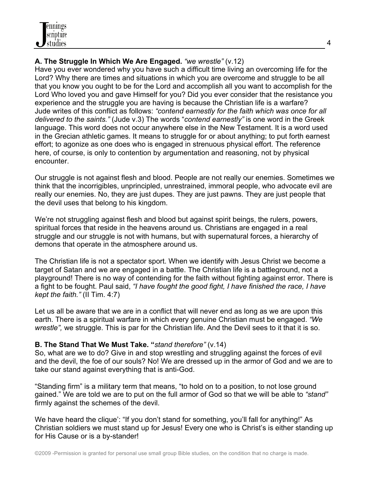# **A. The Struggle In Which We Are Engaged.** *"we wrestle"* (v.12)

Have you ever wondered why you have such a difficult time living an overcoming life for the Lord? Why there are times and situations in which you are overcome and struggle to be all that you know you ought to be for the Lord and accomplish all you want to accomplish for the Lord Who loved you and gave Himself for you? Did you ever consider that the resistance you experience and the struggle you are having is because the Christian life is a warfare? Jude writes of this conflict as follows: *"contend earnestly for the faith which was once for all delivered to the saints."* (Jude v.3) The words "*contend earnestly"* is one word in the Greek language. This word does not occur anywhere else in the New Testament. It is a word used in the Grecian athletic games. It means to struggle for or about anything; to put forth earnest effort; to agonize as one does who is engaged in strenuous physical effort. The reference here, of course, is only to contention by argumentation and reasoning, not by physical encounter.

Our struggle is not against flesh and blood. People are not really our enemies. Sometimes we think that the incorrigibles, unprincipled, unrestrained, immoral people, who advocate evil are really our enemies. No, they are just dupes. They are just pawns. They are just people that the devil uses that belong to his kingdom.

We're not struggling against flesh and blood but against spirit beings, the rulers, powers, spiritual forces that reside in the heavens around us. Christians are engaged in a real struggle and our struggle is not with humans, but with supernatural forces, a hierarchy of demons that operate in the atmosphere around us.

The Christian life is not a spectator sport. When we identify with Jesus Christ we become a target of Satan and we are engaged in a battle. The Christian life is a battleground, not a playground! There is no way of contending for the faith without fighting against error. There is a fight to be fought. Paul said, *"I have fought the good fight, I have finished the race, I have kept the faith."* (II Tim. 4:7)

Let us all be aware that we are in a conflict that will never end as long as we are upon this earth. There is a spiritual warfare in which every genuine Christian must be engaged. *"We wrestle",* we struggle. This is par for the Christian life. And the Devil sees to it that it is so.

# **B. The Stand That We Must Take. "***stand therefore"* (v.14)

So, what are we to do? Give in and stop wrestling and struggling against the forces of evil and the devil, the foe of our souls? No! We are dressed up in the armor of God and we are to take our stand against everything that is anti-God.

"Standing firm" is a military term that means, "to hold on to a position, to not lose ground gained." We are told we are to put on the full armor of God so that we will be able to *"stand"* firmly against the schemes of the devil.

We have heard the clique': "If you don't stand for something, you'll fall for anything!" As Christian soldiers we must stand up for Jesus! Every one who is Christ's is either standing up for His Cause or is a by-stander!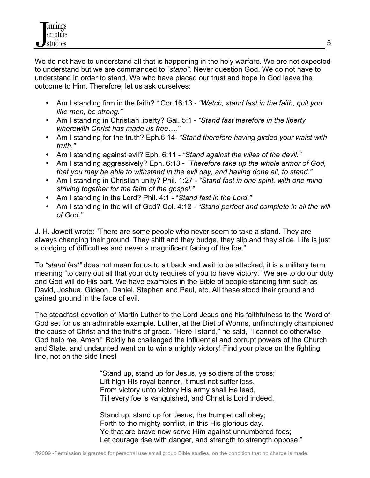We do not have to understand all that is happening in the holy warfare. We are not expected to understand but we are commanded to *"stand".* Never question God. We do not have to understand in order to stand. We who have placed our trust and hope in God leave the outcome to Him. Therefore, let us ask ourselves:

- Am I standing firm in the faith? 1Cor.16:13 *"Watch, stand fast in the faith, quit you like men, be strong."*
- Am I standing in Christian liberty? Gal. 5:1 *"Stand fast therefore in the liberty wherewith Christ has made us free…."*
- Am I standing for the truth? Eph.6:14- *"Stand therefore having girded your waist with truth."*
- Am I standing against evil? Eph. 6:11 *"Stand against the wiles of the devil."*
- Am I standing aggressively? Eph. 6:13 *"Therefore take up the whole armor of God, that you may be able to withstand in the evil day, and having done all, to stand."*
- Am I standing in Christian unity? Phil. 1:27 *"Stand fast in one spirit, with one mind striving together for the faith of the gospel."*
- Am I standing in the Lord? Phil. 4:1 "*Stand fast in the Lord."*
- Am I standing in the will of God? Col. 4:12 *"Stand perfect and complete in all the will of God."*

J. H. Jowett wrote: "There are some people who never seem to take a stand. They are always changing their ground. They shift and they budge, they slip and they slide. Life is just a dodging of difficulties and never a magnificent facing of the foe."

To *"stand fast"* does not mean for us to sit back and wait to be attacked, it is a military term meaning "to carry out all that your duty requires of you to have victory." We are to do our duty and God will do His part. We have examples in the Bible of people standing firm such as David, Joshua, Gideon, Daniel, Stephen and Paul, etc. All these stood their ground and gained ground in the face of evil.

The steadfast devotion of Martin Luther to the Lord Jesus and his faithfulness to the Word of God set for us an admirable example. Luther, at the Diet of Worms, unflinchingly championed the cause of Christ and the truths of grace. "Here I stand," he said, "I cannot do otherwise, God help me. Amen!" Boldly he challenged the influential and corrupt powers of the Church and State, and undaunted went on to win a mighty victory! Find your place on the fighting line, not on the side lines!

> "Stand up, stand up for Jesus, ye soldiers of the cross; Lift high His royal banner, it must not suffer loss. From victory unto victory His army shall He lead, Till every foe is vanquished, and Christ is Lord indeed.

Stand up, stand up for Jesus, the trumpet call obey; Forth to the mighty conflict, in this His glorious day. Ye that are brave now serve Him against unnumbered foes; Let courage rise with danger, and strength to strength oppose."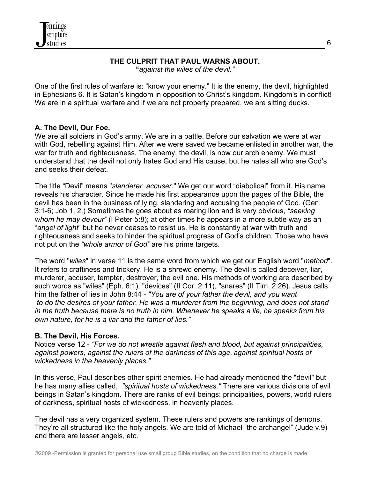

#### **THE CULPRIT THAT PAUL WARNS ABOUT. "***against the wiles of the devil."*

One of the first rules of warfare is: "know your enemy." It is the enemy, the devil, highlighted in Ephesians 6. It is Satan's kingdom in opposition to Christ's kingdom. Kingdom's in conflict! We are in a spiritual warfare and if we are not properly prepared, we are sitting ducks.

## **A. The Devil, Our Foe.**

We are all soldiers in God's army. We are in a battle. Before our salvation we were at war with God, rebelling against Him. After we were saved we became enlisted in another war, the war for truth and righteousness. The enemy, the devil, is now our arch enemy. We must understand that the devil not only hates God and His cause, but he hates all who are God's and seeks their defeat.

The title "Devil" means "*slanderer, accuser*." We get our word "diabolical" from it. His name reveals his character. Since he made his first appearance upon the pages of the Bible, the devil has been in the business of lying, slandering and accusing the people of God. (Gen. 3:1-6; Job 1, 2.) Sometimes he goes about as roaring lion and is very obvious, *"seeking whom he may devour"* (I Peter 5:8); at other times he appears in a more subtle way as an "*angel of light*" but he never ceases to resist us. He is constantly at war with truth and righteousness and seeks to hinder the spiritual progress of God's children. Those who have not put on the *"whole armor of God"* are his prime targets.

The word "*wiles*" in verse 11 is the same word from which we get our English word "*method*". It refers to craftiness and trickery. He is a shrewd enemy. The devil is called deceiver, liar, murderer, accuser, tempter, destroyer, the evil one. His methods of working are described by such words as "wiles" (Eph. 6:1), "devices" (II Cor. 2:11), "snares" (II Tim. 2:26). Jesus calls him the father of lies in John 8:44 - *"You are of your father the devil, and you want to do the desires of your father. He was a murderer from the beginning, and does not stand in the truth because there is no truth in him. Whenever he speaks a lie, he speaks from his own nature, for he is a liar and the father of lies."*

### **B. The Devil, His Forces.**

Notice verse 12 - *"For we do not wrestle against flesh and blood, but against principalities, against powers, against the rulers of the darkness of this age, against spiritual hosts of wickedness in the heavenly places."*

In this verse, Paul describes other spirit enemies. He had already mentioned the "devil" but he has many allies called, *"spiritual hosts of wickedness."* There are various divisions of evil beings in Satan's kingdom. There are ranks of evil beings: principalities, powers, world rulers of darkness, spiritual hosts of wickedness, in heavenly places.

The devil has a very organized system. These rulers and powers are rankings of demons. They're all structured like the holy angels. We are told of Michael "the archangel" (Jude v.9) and there are lesser angels, etc.